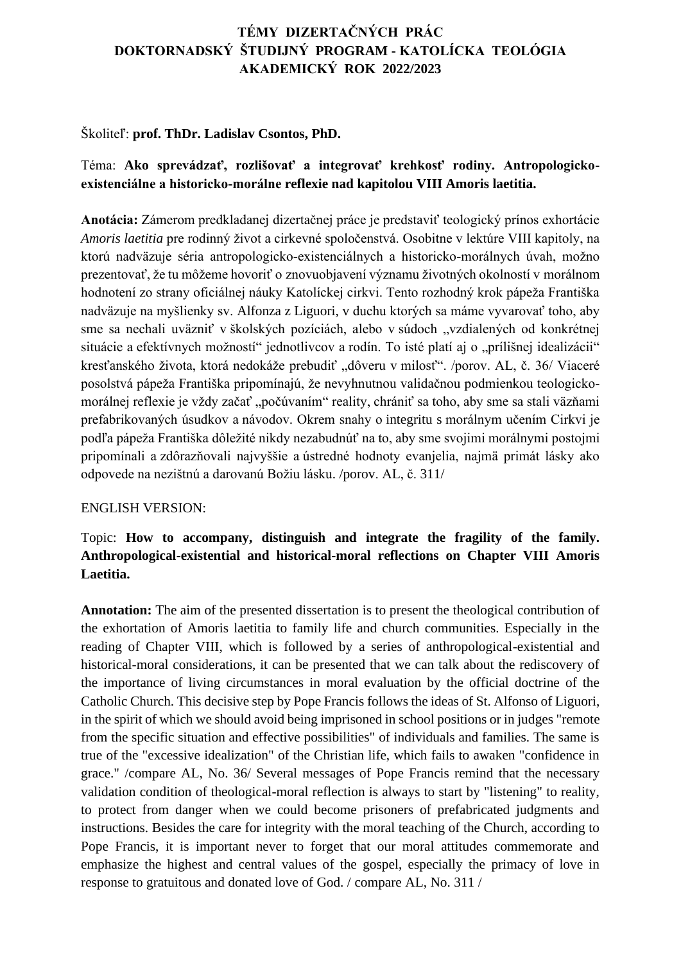# **TÉMY DIZERTAČNÝCH PRÁC DOKTORNADSKÝ ŠTUDIJNÝ PROGRAM - KATOLÍCKA TEOLÓGIA AKADEMICKÝ ROK 2022/2023**

### Školiteľ: **prof. ThDr. Ladislav Csontos, PhD.**

## Téma: **Ako sprevádzať, rozlišovať a integrovať krehkosť rodiny. Antropologickoexistenciálne a historicko-morálne reflexie nad kapitolou VIII Amoris laetitia.**

**Anotácia:** Zámerom predkladanej dizertačnej práce je predstaviť teologický prínos exhortácie *Amoris laetitia* pre rodinný život a cirkevné spoločenstvá. Osobitne v lektúre VIII kapitoly, na ktorú nadväzuje séria antropologicko-existenciálnych a historicko-morálnych úvah, možno prezentovať, že tu môžeme hovoriť o znovuobjavení významu životných okolností v morálnom hodnotení zo strany oficiálnej náuky Katolíckej cirkvi. Tento rozhodný krok pápeža Františka nadväzuje na myšlienky sv. Alfonza z Liguori, v duchu ktorých sa máme vyvarovať toho, aby sme sa nechali uväzniť v školských pozíciách, alebo v súdoch "vzdialených od konkrétnej situácie a efektívnych možností" jednotlivcov a rodín. To isté platí aj o "prílišnej idealizácii" kresťanského života, ktorá nedokáže prebudiť "dôveru v milosť". /porov. AL, č. 36/ Viaceré posolstvá pápeža Františka pripomínajú, že nevyhnutnou validačnou podmienkou teologickomorálnej reflexie je vždy začať "počúvaním" reality, chrániť sa toho, aby sme sa stali väzňami prefabrikovaných úsudkov a návodov. Okrem snahy o integritu s morálnym učením Cirkvi je podľa pápeža Františka dôležité nikdy nezabudnúť na to, aby sme svojimi morálnymi postojmi pripomínali a zdôrazňovali najvyššie a ústredné hodnoty evanjelia, najmä primát lásky ako odpovede na nezištnú a darovanú Božiu lásku. /porov. AL, č. 311/

#### ENGLISH VERSION:

## Topic: **How to accompany, distinguish and integrate the fragility of the family. Anthropological-existential and historical-moral reflections on Chapter VIII Amoris Laetitia.**

**Annotation:** The aim of the presented dissertation is to present the theological contribution of the exhortation of Amoris laetitia to family life and church communities. Especially in the reading of Chapter VIII, which is followed by a series of anthropological-existential and historical-moral considerations, it can be presented that we can talk about the rediscovery of the importance of living circumstances in moral evaluation by the official doctrine of the Catholic Church. This decisive step by Pope Francis follows the ideas of St. Alfonso of Liguori, in the spirit of which we should avoid being imprisoned in school positions or in judges "remote from the specific situation and effective possibilities" of individuals and families. The same is true of the "excessive idealization" of the Christian life, which fails to awaken "confidence in grace." /compare AL, No. 36/ Several messages of Pope Francis remind that the necessary validation condition of theological-moral reflection is always to start by "listening" to reality, to protect from danger when we could become prisoners of prefabricated judgments and instructions. Besides the care for integrity with the moral teaching of the Church, according to Pope Francis, it is important never to forget that our moral attitudes commemorate and emphasize the highest and central values of the gospel, especially the primacy of love in response to gratuitous and donated love of God. / compare AL, No. 311 /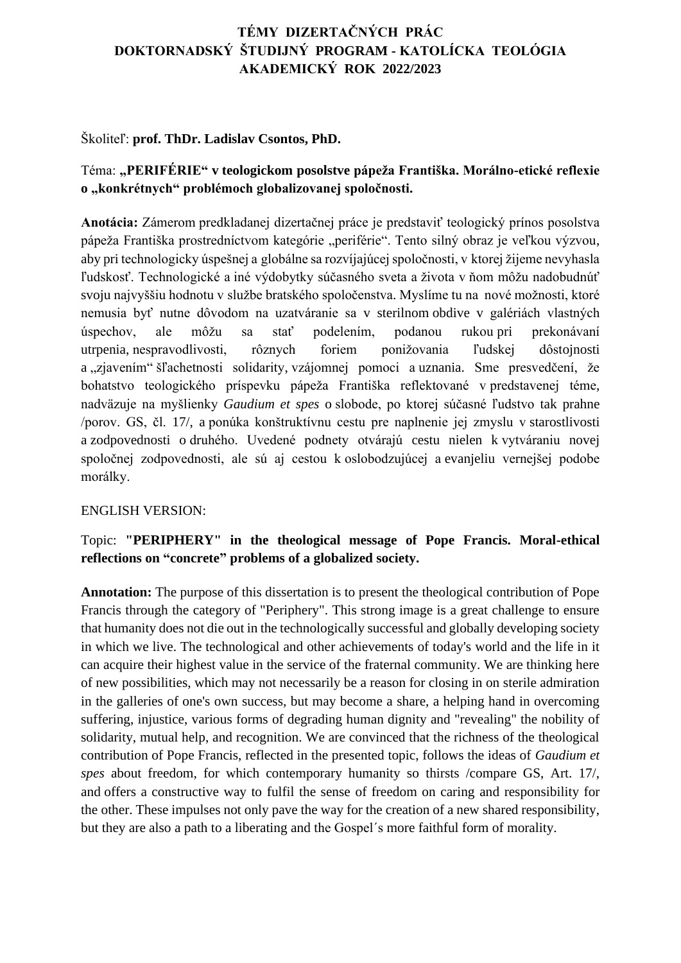# **TÉMY DIZERTAČNÝCH PRÁC DOKTORNADSKÝ ŠTUDIJNÝ PROGRAM - KATOLÍCKA TEOLÓGIA AKADEMICKÝ ROK 2022/2023**

#### Školiteľ: **prof. ThDr. Ladislav Csontos, PhD.**

## Téma: **"PERIFÉRIE" v teologickom posolstve pápeža Františka. Morálno-etické reflexie o "konkrétnych" problémoch globalizovanej spoločnosti.**

**Anotácia:** Zámerom predkladanej dizertačnej práce je predstaviť teologický prínos posolstva pápeža Františka prostredníctvom kategórie "periférie". Tento silný obraz je veľkou výzvou, aby pri technologicky úspešnej a globálne sa rozvíjajúcej spoločnosti, v ktorej žijeme nevyhasla ľudskosť. Technologické a iné výdobytky súčasného sveta a života v ňom môžu nadobudnúť svoju najvyššiu hodnotu v službe bratského spoločenstva. Myslíme tu na nové možnosti, ktoré nemusia byť nutne dôvodom na uzatváranie sa v sterilnom obdive v galériách vlastných úspechov, ale môžu sa stať podelením, podanou rukou pri prekonávaní utrpenia, nespravodlivosti, rôznych foriem ponižovania ľudskej dôstojnosti a "zjavením" šľachetnosti solidarity, vzájomnej pomoci a uznania. Sme presvedčení, že bohatstvo teologického príspevku pápeža Františka reflektované v predstavenej téme, nadväzuje na myšlienky *Gaudium et spes* o slobode, po ktorej súčasné ľudstvo tak prahne /porov. GS, čl. 17/, a ponúka konštruktívnu cestu pre naplnenie jej zmyslu v starostlivosti a zodpovednosti o druhého. Uvedené podnety otvárajú cestu nielen k vytváraniu novej spoločnej zodpovednosti, ale sú aj cestou k oslobodzujúcej a evanjeliu vernejšej podobe morálky.

#### ENGLISH VERSION:

### Topic: **"PERIPHERY" in the theological message of Pope Francis. Moral-ethical reflections on "concrete" problems of a globalized society.**

**Annotation:** The purpose of this dissertation is to present the theological contribution of Pope Francis through the category of "Periphery". This strong image is a great challenge to ensure that humanity does not die out in the technologically successful and globally developing society in which we live. The technological and other achievements of today's world and the life in it can acquire their highest value in the service of the fraternal community. We are thinking here of new possibilities, which may not necessarily be a reason for closing in on sterile admiration in the galleries of one's own success, but may become a share, a helping hand in overcoming suffering, injustice, various forms of degrading human dignity and "revealing" the nobility of solidarity, mutual help, and recognition. We are convinced that the richness of the theological contribution of Pope Francis, reflected in the presented topic, follows the ideas of *Gaudium et spes* about freedom, for which contemporary humanity so thirsts /compare GS, Art. 17/, and offers a constructive way to fulfil the sense of freedom on caring and responsibility for the other. These impulses not only pave the way for the creation of a new shared responsibility, but they are also a path to a liberating and the Gospel´s more faithful form of morality.